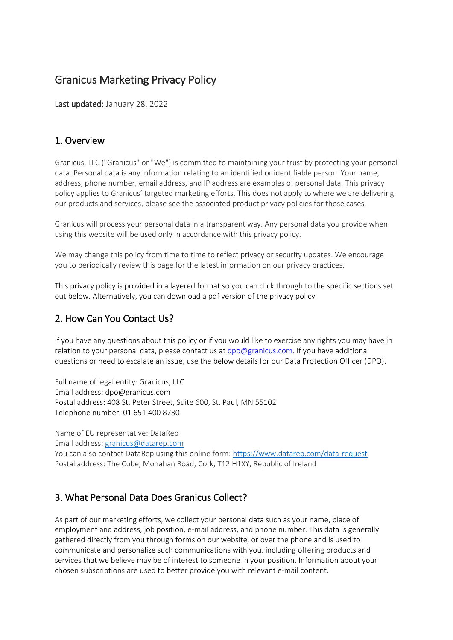# Granicus Marketing Privacy Policy

Last updated: January 28, 2022

### 1. Overview

Granicus, LLC ("Granicus" or "We") is committed to maintaining your trust by protecting your personal data. Personal data is any information relating to an identified or identifiable person. Your name, address, phone number, email address, and IP address are examples of personal data. This privacy policy applies to Granicus' targeted marketing efforts. This does not apply to where we are delivering our products and services, please see the associated product privacy policies for those cases.

Granicus will process your personal data in a transparent way. Any personal data you provide when using this website will be used only in accordance with this privacy policy.

We may change this policy from time to time to reflect privacy or security updates. We encourage you to periodically review this page for the latest information on our privacy practices.

This privacy policy is provided in a layered format so you can click through to the specific sections set out below. Alternatively, you can download a pdf version of the privacy policy.

### 2. How Can You Contact Us?

If you have any questions about this policy or if you would like to exercise any rights you may have in relation to your personal data, please contact us at dpo@granicus.com. If you have additional questions or need to escalate an issue, use the below details for our Data Protection Officer (DPO).

Full name of legal entity: Granicus, LLC Email address: dpo@granicus.com Postal address: 408 St. Peter Street, Suite 600, St. Paul, MN 55102 Telephone number: 01 651 400 8730

Name of EU representative: DataRep

Email address: [granicus@datarep.com](mailto:granicus@datarep.com)

You can also contact DataRep using this online form:<https://www.datarep.com/data-request> Postal address: The Cube, Monahan Road, Cork, T12 H1XY, Republic of Ireland

## 3. What Personal Data Does Granicus Collect?

As part of our marketing efforts, we collect your personal data such as your name, place of employment and address, job position, e-mail address, and phone number. This data is generally gathered directly from you through forms on our website, or over the phone and is used to communicate and personalize such communications with you, including offering products and services that we believe may be of interest to someone in your position. Information about your chosen subscriptions are used to better provide you with relevant e-mail content.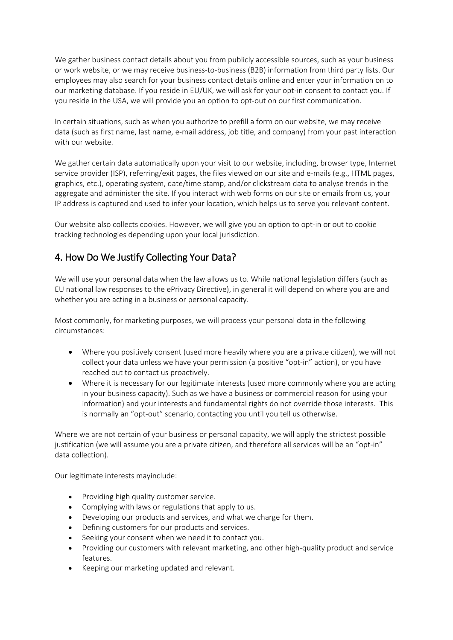We gather business contact details about you from publicly accessible sources, such as your business or work website, or we may receive business-to-business (B2B) information from third party lists. Our employees may also search for your business contact details online and enter your information on to our marketing database. If you reside in EU/UK, we will ask for your opt-in consent to contact you. If you reside in the USA, we will provide you an option to opt-out on our first communication.

In certain situations, such as when you authorize to prefill a form on our website, we may receive data (such as first name, last name, e-mail address, job title, and company) from your past interaction with our website.

We gather certain data automatically upon your visit to our website, including, browser type, Internet service provider (ISP), referring/exit pages, the files viewed on our site and e-mails (e.g., HTML pages, graphics, etc.), operating system, date/time stamp, and/or clickstream data to analyse trends in the aggregate and administer the site. If you interact with web forms on our site or emails from us, your IP address is captured and used to infer your location, which helps us to serve you relevant content.

Our website also collects cookies. However, we will give you an option to opt-in or out to cookie tracking technologies depending upon your local jurisdiction.

### 4. How Do We Justify Collecting Your Data?

We will use your personal data when the law allows us to. While national legislation differs (such as EU national law responses to the ePrivacy Directive), in general it will depend on where you are and whether you are acting in a business or personal capacity.

Most commonly, for marketing purposes, we will process your personal data in the following circumstances:

- Where you positively consent (used more heavily where you are a private citizen), we will not collect your data unless we have your permission (a positive "opt-in" action), or you have reached out to contact us proactively.
- Where it is necessary for our legitimate interests (used more commonly where you are acting in your business capacity). Such as we have a business or commercial reason for using your information) and your interests and fundamental rights do not override those interests. This is normally an "opt-out" scenario, contacting you until you tell us otherwise.

Where we are not certain of your business or personal capacity, we will apply the strictest possible justification (we will assume you are a private citizen, and therefore all services will be an "opt-in" data collection).

Our legitimate interests mayinclude:

- Providing high quality customer service.
- Complying with laws or regulations that apply to us.
- Developing our products and services, and what we charge for them.
- Defining customers for our products and services.
- Seeking your consent when we need it to contact you.
- Providing our customers with relevant marketing, and other high-quality product and service features.
- Keeping our marketing updated and relevant.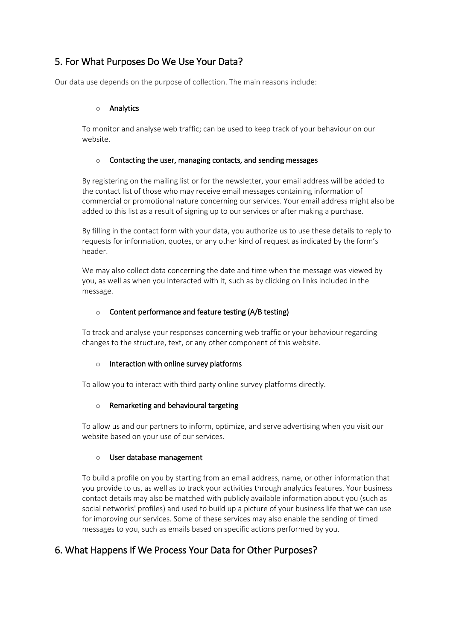## 5. For What Purposes Do We Use Your Data?

Our data use depends on the purpose of collection. The main reasons include:

#### o Analytics

To monitor and analyse web traffic; can be used to keep track of your behaviour on our website.

#### o Contacting the user, managing contacts, and sending messages

By registering on the mailing list or for the newsletter, your email address will be added to the contact list of those who may receive email messages containing information of commercial or promotional nature concerning our services. Your email address might also be added to this list as a result of signing up to our services or after making a purchase.

By filling in the contact form with your data, you authorize us to use these details to reply to requests for information, quotes, or any other kind of request as indicated by the form's header.

We may also collect data concerning the date and time when the message was viewed by you, as well as when you interacted with it, such as by clicking on links included in the message.

#### o Content performance and feature testing (A/B testing)

To track and analyse your responses concerning web traffic or your behaviour regarding changes to the structure, text, or any other component of this website.

#### $\circ$  Interaction with online survey platforms

To allow you to interact with third party online survey platforms directly.

#### o Remarketing and behavioural targeting

To allow us and our partners to inform, optimize, and serve advertising when you visit our website based on your use of our services.

#### o User database management

To build a profile on you by starting from an email address, name, or other information that you provide to us, as well as to track your activities through analytics features. Your business contact details may also be matched with publicly available information about you (such as social networks' profiles) and used to build up a picture of your business life that we can use for improving our services. Some of these services may also enable the sending of timed messages to you, such as emails based on specific actions performed by you.

## 6. What Happens If We Process Your Data for Other Purposes?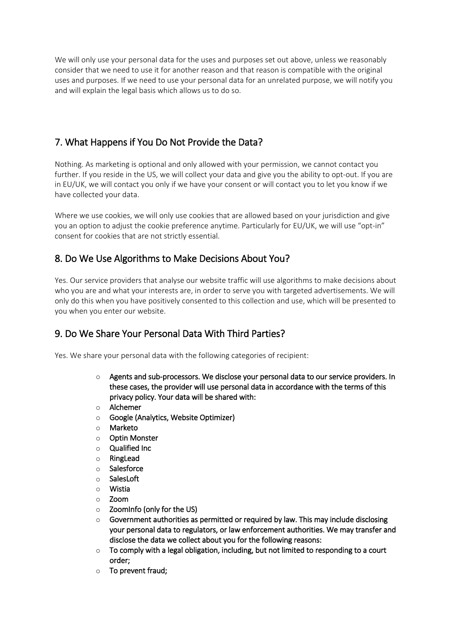We will only use your personal data for the uses and purposes set out above, unless we reasonably consider that we need to use it for another reason and that reason is compatible with the original uses and purposes. If we need to use your personal data for an unrelated purpose, we will notify you and will explain the legal basis which allows us to do so.

## 7. What Happens if You Do Not Provide the Data?

Nothing. As marketing is optional and only allowed with your permission, we cannot contact you further. If you reside in the US, we will collect your data and give you the ability to opt-out. If you are in EU/UK, we will contact you only if we have your consent or will contact you to let you know if we have collected your data.

Where we use cookies, we will only use cookies that are allowed based on your jurisdiction and give you an option to adjust the cookie preference anytime. Particularly for EU/UK, we will use "opt-in" consent for cookies that are not strictly essential.

### 8. Do We Use Algorithms to Make Decisions About You?

Yes. Our service providers that analyse our website traffic will use algorithms to make decisions about who you are and what your interests are, in order to serve you with targeted advertisements. We will only do this when you have positively consented to this collection and use, which will be presented to you when you enter our website.

## 9. Do We Share Your Personal Data With Third Parties?

Yes. We share your personal data with the following categories of recipient:

- o Agents and sub-processors. We disclose your personal data to our service providers. In these cases, the provider will use personal data in accordance with the terms of this privacy policy. Your data will be shared with:
- o Alchemer
- Google (Analytics, Website Optimizer)
- o Marketo
- o Optin Monster
- o Qualified Inc
- o RingLead
- o Salesforce
- o SalesLoft
- o Wistia
- o Zoom
- o ZoomInfo (only for the US)
- Government authorities as permitted or required by law. This may include disclosing your personal data to regulators, or law enforcement authorities. We may transfer and disclose the data we collect about you for the following reasons:
- $\circ$  To comply with a legal obligation, including, but not limited to responding to a court order;
- o To prevent fraud;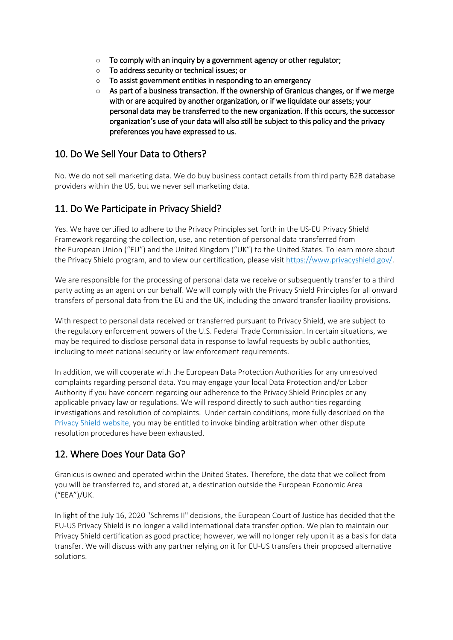- $\circ$  To comply with an inquiry by a government agency or other regulator;
- o To address security or technical issues; or
- o To assist government entities in responding to an emergency
- $\circ$  As part of a business transaction. If the ownership of Granicus changes, or if we merge with or are acquired by another organization, or if we liquidate our assets; your personal data may be transferred to the new organization. If this occurs, the successor organization's use of your data will also still be subject to this policy and the privacy preferences you have expressed to us.

#### 10. Do We Sell Your Data to Others?

No. We do not sell marketing data. We do buy business contact details from third party B2B database providers within the US, but we never sell marketing data.

#### 11. Do We Participate in Privacy Shield?

Yes. We have certified to adhere to the Privacy Principles set forth in the US-EU Privacy Shield Framework regarding the collection, use, and retention of personal data transferred from the European Union ("EU") and the United Kingdom ("UK") to the United States. To learn more about the Privacy Shield program, and to view our certification, please visit [https://www.privacyshield.gov/.](https://www.privacyshield.gov/)

We are responsible for the processing of personal data we receive or subsequently transfer to a third party acting as an agent on our behalf. We will comply with the Privacy Shield Principles for all onward transfers of personal data from the EU and the UK, including the onward transfer liability provisions.

With respect to personal data received or transferred pursuant to Privacy Shield, we are subject to the regulatory enforcement powers of the U.S. Federal Trade Commission. In certain situations, we may be required to disclose personal data in response to lawful requests by public authorities, including to meet national security or law enforcement requirements.

In addition, we will cooperate with the European Data Protection Authorities for any unresolved complaints regarding personal data. You may engage your local Data Protection and/or Labor Authority if you have concern regarding our adherence to the Privacy Shield Principles or any applicable privacy law or regulations. We will respond directly to such authorities regarding investigations and resolution of complaints.  Under certain conditions, more fully described on the [Privacy Shield](https://www.privacyshield.gov/article?id=How-to-Submit-a-Complaint) website, you may be entitled to invoke binding arbitration when other dispute resolution procedures have been exhausted.

### 12. Where Does Your Data Go?

Granicus is owned and operated within the United States. Therefore, the data that we collect from you will be transferred to, and stored at, a destination outside the European Economic Area ("EEA")/UK.

In light of the July 16, 2020 "Schrems II" decisions, the European Court of Justice has decided that the EU-US Privacy Shield is no longer a valid international data transfer option. We plan to maintain our Privacy Shield certification as good practice; however, we will no longer rely upon it as a basis for data transfer. We will discuss with any partner relying on it for EU-US transfers their proposed alternative solutions.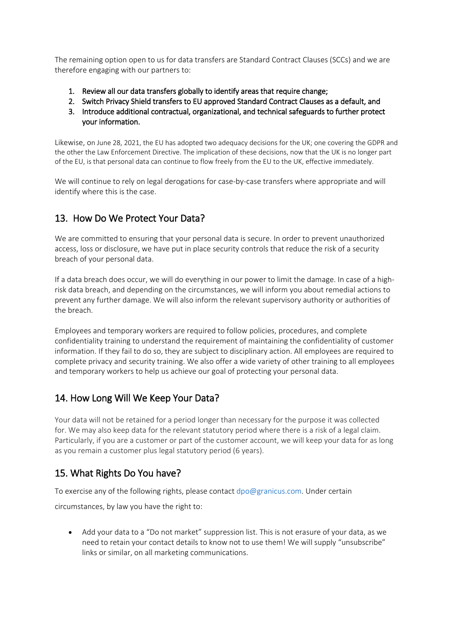The remaining option open to us for data transfers are Standard Contract Clauses (SCCs) and we are therefore engaging with our partners to:

- 1. Review all our data transfers globally to identify areas that require change;
- 2. Switch Privacy Shield transfers to EU approved Standard Contract Clauses as a default, and
- 3. Introduce additional contractual, organizational, and technical safeguards to further protect your information.

Likewise, on June 28, 2021, the EU has adopted two adequacy decisions for the UK; one covering the GDPR and the other the Law Enforcement Directive. The implication of these decisions, now that the UK is no longer part of the EU, is that personal data can continue to flow freely from the EU to the UK, effective immediately.

We will continue to rely on legal derogations for case-by-case transfers where appropriate and will identify where this is the case.

### 13. How Do We Protect Your Data?

We are committed to ensuring that your personal data is secure. In order to prevent unauthorized access, loss or disclosure, we have put in place security controls that reduce the risk of a security breach of your personal data.

If a data breach does occur, we will do everything in our power to limit the damage. In case of a highrisk data breach, and depending on the circumstances, we will inform you about remedial actions to prevent any further damage. We will also inform the relevant supervisory authority or authorities of the breach.

Employees and temporary workers are required to follow policies, procedures, and complete confidentiality training to understand the requirement of maintaining the confidentiality of customer information. If they fail to do so, they are subject to disciplinary action. All employees are required to complete privacy and security training. We also offer a wide variety of other training to all employees and temporary workers to help us achieve our goal of protecting your personal data.

## 14. How Long Will We Keep Your Data?

Your data will not be retained for a period longer than necessary for the purpose it was collected for. We may also keep data for the relevant statutory period where there is a risk of a legal claim. Particularly, if you are a customer or part of the customer account, we will keep your data for as long as you remain a customer plus legal statutory period (6 years).

## 15. What Rights Do You have?

To exercise any of the following rights, please contact dpo@granicus.com. Under certain

circumstances, by law you have the right to:

• Add your data to a "Do not market" suppression list. This is not erasure of your data, as we need to retain your contact details to know not to use them! We will supply "unsubscribe" links or similar, on all marketing communications.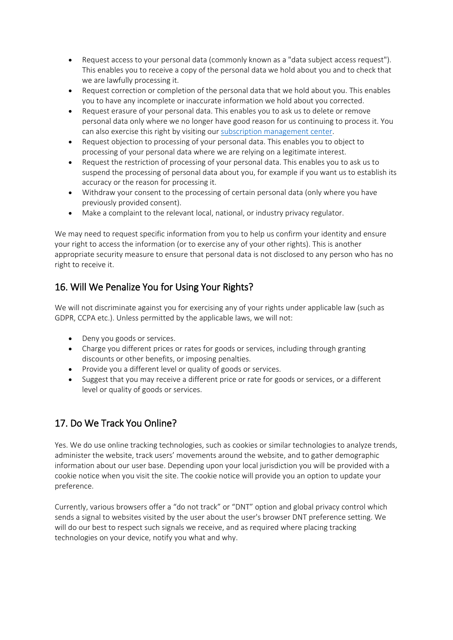- Request access to your personal data (commonly known as a "data subject access request"). This enables you to receive a copy of the personal data we hold about you and to check that we are lawfully processing it.
- Request correction or completion of the personal data that we hold about you. This enables you to have any incomplete or inaccurate information we hold about you corrected.
- Request erasure of your personal data. This enables you to ask us to delete or remove personal data only where we no longer have good reason for us continuing to process it. You can also exercise this right by visiting our [subscription management center.](https://go.granicus.com/Subscription-Management.html)
- Request objection to processing of your personal data. This enables you to object to processing of your personal data where we are relying on a legitimate interest.
- Request the restriction of processing of your personal data. This enables you to ask us to suspend the processing of personal data about you, for example if you want us to establish its accuracy or the reason for processing it.
- Withdraw your consent to the processing of certain personal data (only where you have previously provided consent).
- Make a complaint to the relevant local, national, or industry privacy regulator.

We may need to request specific information from you to help us confirm your identity and ensure your right to access the information (or to exercise any of your other rights). This is another appropriate security measure to ensure that personal data is not disclosed to any person who has no right to receive it.

## 16. Will We Penalize You for Using Your Rights?

We will not discriminate against you for exercising any of your rights under applicable law (such as GDPR, CCPA etc.). Unless permitted by the applicable laws, we will not:

- Deny you goods or services.
- Charge you different prices or rates for goods or services, including through granting discounts or other benefits, or imposing penalties.
- Provide you a different level or quality of goods or services.
- Suggest that you may receive a different price or rate for goods or services, or a different level or quality of goods or services.

## 17. Do We Track You Online?

Yes. We do use online tracking technologies, such as cookies or similar technologies to analyze trends, administer the website, track users' movements around the website, and to gather demographic information about our user base. Depending upon your local jurisdiction you will be provided with a cookie notice when you visit the site. The cookie notice will provide you an option to update your preference.

Currently, various browsers offer a "do not track" or "DNT" option and global privacy control which sends a signal to websites visited by the user about the user's browser DNT preference setting. We will do our best to respect such signals we receive, and as required where placing tracking technologies on your device, notify you what and why.